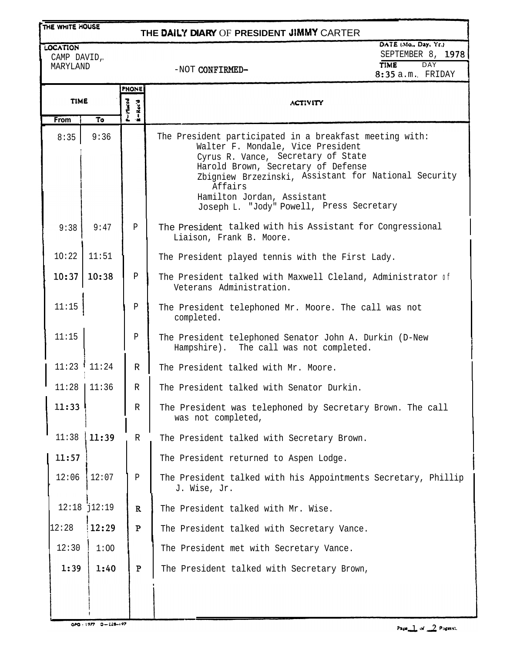## **ITHE WHITE HOUSE**

## **THE DAIt'i DIARY** OF **PRESIDENT** JIMMY CARTER

LOCATION CAMP DAVID, MARYLAND

DATE (Mo., Day, Yr.) SEPTEMBER 8, 1978 TIME DAY 8:35 a.m. FRIDAY

-NOT CONFIRMED-

|             |                 | PHONE                   |                                                                                                                                                                                                                                                                                                                       |
|-------------|-----------------|-------------------------|-----------------------------------------------------------------------------------------------------------------------------------------------------------------------------------------------------------------------------------------------------------------------------------------------------------------------|
| <b>TIME</b> |                 | $P = M = ed$<br>R-Rec'd | <b>ACTIVITY</b>                                                                                                                                                                                                                                                                                                       |
| <b>From</b> | To              |                         |                                                                                                                                                                                                                                                                                                                       |
| 8:35        | 9:36            |                         | The President participated in a breakfast meeting with:<br>Walter F. Mondale, Vice President<br>Cyrus R. Vance, Secretary of State<br>Harold Brown, Secretary of Defense<br>Zbigniew Brzezinski, Assistant for National Security<br>Affairs<br>Hamilton Jordan, Assistant<br>Joseph L. "Jody" Powell, Press Secretary |
| 9:38        | 9:47            | P                       | The President talked with his Assistant for Congressional<br>Liaison, Frank B. Moore.                                                                                                                                                                                                                                 |
| 10:22       | 11:51           |                         | The President played tennis with the First Lady.                                                                                                                                                                                                                                                                      |
| 10:37       | 10:38           | P                       | The President talked with Maxwell Cleland, Administrator of<br>Veterans Administration.                                                                                                                                                                                                                               |
| 11:15       |                 | Ρ                       | The President telephoned Mr. Moore. The call was not<br>completed.                                                                                                                                                                                                                                                    |
| 11:15       |                 | Ρ                       | The President telephoned Senator John A. Durkin (D-New<br>Hampshire). The call was not completed.                                                                                                                                                                                                                     |
|             | $11:23$ $11:24$ | R                       | The President talked with Mr. Moore.                                                                                                                                                                                                                                                                                  |
| 11:28       | 11:36           | R                       | The President talked with Senator Durkin.                                                                                                                                                                                                                                                                             |
| 11:33       |                 | R                       | The President was telephoned by Secretary Brown. The call<br>was not completed,                                                                                                                                                                                                                                       |
| 11:38       | 11:39           | R                       | The President talked with Secretary Brown.                                                                                                                                                                                                                                                                            |
| 11:57       |                 |                         | The President returned to Aspen Lodge.                                                                                                                                                                                                                                                                                |
| 12:06       | 12:07           | $\, {\bf P}$            | The President talked with his Appointments Secretary, Phillip<br>J. Wise, Jr.                                                                                                                                                                                                                                         |
|             | $12:18$ $12:19$ | $\mathbf R$             | The President talked with Mr. Wise.                                                                                                                                                                                                                                                                                   |
| 12:28       | 12:29           | ${\bf P}$               | The President talked with Secretary Vance.                                                                                                                                                                                                                                                                            |
| 12:30       | 1:00            |                         | The President met with Secretary Vance.                                                                                                                                                                                                                                                                               |
| 1:39        | 1:40            | $\mathbf{P}$            | The President talked with Secretary Brown,                                                                                                                                                                                                                                                                            |
|             |                 |                         |                                                                                                                                                                                                                                                                                                                       |